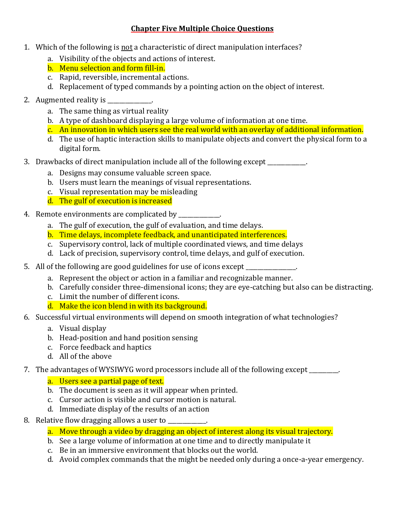# **Chapter Five Multiple Choice Questions**

- 1. Which of the following is not a characteristic of direct manipulation interfaces?
	- a. Visibility of the objects and actions of interest.
	- b. Menu selection and form fill-in.
	- c. Rapid, reversible, incremental actions.
	- d. Replacement of typed commands by a pointing action on the object of interest.
- 2. Augmented reality is  $\frac{1}{2}$ 
	- a. The same thing as virtual reality
	- b. A type of dashboard displaying a large volume of information at one time.
	- c. An innovation in which users see the real world with an overlay of additional information.
	- d. The use of haptic interaction skills to manipulate objects and convert the physical form to a digital form.
- 3. Drawbacks of direct manipulation include all of the following except
	- a. Designs may consume valuable screen space.
	- b. Users must learn the meanings of visual representations.
	- c. Visual representation may be misleading
	- d. The gulf of execution is increased
- 4. Remote environments are complicated by
	- a. The gulf of execution, the gulf of evaluation, and time delays.
	- b. Time delays, incomplete feedback, and unanticipated interferences.
	- c. Supervisory control, lack of multiple coordinated views, and time delays
	- d. Lack of precision, supervisory control, time delays, and gulf of execution.
- 5. All of the following are good guidelines for use of icons except \_\_\_\_\_\_\_\_\_\_\_\_.
	- a. Represent the object or action in a familiar and recognizable manner.
	- b. Carefully consider three-dimensional icons; they are eye-catching but also can be distracting.
	- c. Limit the number of different icons.
	- d. Make the icon blend in with its background.
- 6. Successful virtual environments will depend on smooth integration of what technologies?
	- a. Visual display
	- b. Head-position and hand position sensing
	- c. Force feedback and haptics
	- d. All of the above
- 7. The advantages of WYSIWYG word processors include all of the following except
	- a. Users see a partial page of text.
	- b. The document is seen as it will appear when printed.
	- c. Cursor action is visible and cursor motion is natural.
	- d. Immediate display of the results of an action
- 8. Relative flow dragging allows a user to \_\_\_\_\_\_\_\_\_\_\_.
	- a. Move through a video by dragging an object of interest along its visual trajectory.
	- b. See a large volume of information at one time and to directly manipulate it
	- c. Be in an immersive environment that blocks out the world.
	- d. Avoid complex commands that the might be needed only during a once-a-year emergency.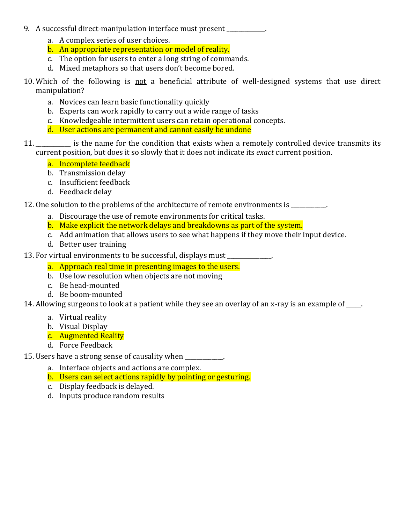- 9. A successful direct-manipulation interface must present
	- a. A complex series of user choices.
	- b. An appropriate representation or model of reality.
	- c. The option for users to enter a long string of commands.
	- d. Mixed metaphors so that users don't become bored.
- 10. Which of the following is not a beneficial attribute of well-designed systems that use direct manipulation?
	- a. Novices can learn basic functionality quickly
	- b. Experts can work rapidly to carry out a wide range of tasks
	- c. Knowledgeable intermittent users can retain operational concepts.
	- d. User actions are permanent and cannot easily be undone
- 11. \_\_\_\_\_\_\_\_\_\_\_\_ is the name for the condition that exists when a remotely controlled device transmits its current position, but does it so slowly that it does not indicate its *exact* current position.

# a. Incomplete feedback

- b. Transmission delay
- c. Insufficient feedback
- d. Feedback delay

12. One solution to the problems of the architecture of remote environments is

- a. Discourage the use of remote environments for critical tasks.
- b. Make explicit the network delays and breakdowns as part of the system.
- c. Add animation that allows users to see what happens if they move their input device.
- d. Better user training
- 13. For virtual environments to be successful, displays must
	- a. Approach real time in presenting images to the users.
	- b. Use low resolution when objects are not moving
	- c. Be head-mounted
	- d. Be boom-mounted

14. Allowing surgeons to look at a patient while they see an overlay of an x-ray is an example of \_\_\_\_.

- a. Virtual reality
- b. Visual Display
- c. Augmented Reality
- d. Force Feedback

15. Users have a strong sense of causality when \_\_\_\_\_\_\_\_\_\_\_\_\_.

- a. Interface objects and actions are complex.
- b. Users can select actions rapidly by pointing or gesturing.
- c. Display feedback is delayed.
- d. Inputs produce random results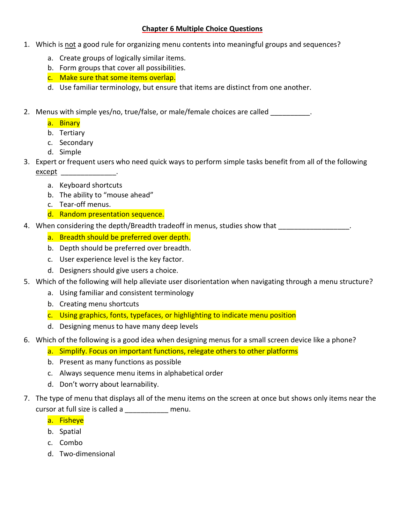#### **Chapter 6 Multiple Choice Questions**

- 1. Which is not a good rule for organizing menu contents into meaningful groups and sequences?
	- a. Create groups of logically similar items.
	- b. Form groups that cover all possibilities.
	- c. Make sure that some items overlap.
	- d. Use familiar terminology, but ensure that items are distinct from one another.
- 2. Menus with simple yes/no, true/false, or male/female choices are called \_\_\_\_\_\_\_\_\_.
	- a. Binary
	- b. Tertiary
	- c. Secondary
	- d. Simple
- 3. Expert or frequent users who need quick ways to perform simple tasks benefit from all of the following except the contract of the contract of the contract of the contract of the contract of the contract of the contract of the contract of the contract of the contract of the contract of the contract of the contract of the con
	- a. Keyboard shortcuts
	- b. The ability to "mouse ahead"
	- c. Tear-off menus.
	- d. Random presentation sequence.
- 4. When considering the depth/Breadth tradeoff in menus, studies show that  $\blacksquare$ 
	- a. Breadth should be preferred over depth.
	- b. Depth should be preferred over breadth.
	- c. User experience level is the key factor.
	- d. Designers should give users a choice.
- 5. Which of the following will help alleviate user disorientation when navigating through a menu structure?
	- a. Using familiar and consistent terminology
	- b. Creating menu shortcuts
	- c. Using graphics, fonts, typefaces, or highlighting to indicate menu position
	- d. Designing menus to have many deep levels
- 6. Which of the following is a good idea when designing menus for a small screen device like a phone?
	- a. Simplify. Focus on important functions, relegate others to other platforms
	- b. Present as many functions as possible
	- c. Always sequence menu items in alphabetical order
	- d. Don't worry about learnability.
- 7. The type of menu that displays all of the menu items on the screen at once but shows only items near the cursor at full size is called a \_\_\_\_\_\_\_\_\_\_\_ menu.
	- a. Fisheye
	- b. Spatial
	- c. Combo
	- d. Two-dimensional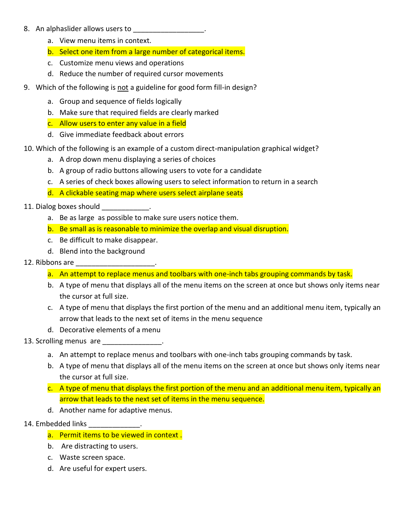#### 8. An alphaslider allows users to

- a. View menu items in context.
- b. Select one item from a large number of categorical items.
- c. Customize menu views and operations
- d. Reduce the number of required cursor movements
- 9. Which of the following is not a guideline for good form fill-in design?
	- a. Group and sequence of fields logically
	- b. Make sure that required fields are clearly marked
	- c. Allow users to enter any value in a field
	- d. Give immediate feedback about errors
- 10. Which of the following is an example of a custom direct-manipulation graphical widget?
	- a. A drop down menu displaying a series of choices
	- b. A group of radio buttons allowing users to vote for a candidate
	- c. A series of check boxes allowing users to select information to return in a search
	- d. A clickable seating map where users select airplane seats

## 11. Dialog boxes should in the case of the case of the case of the case of the case of the case of the case of t

- a. Be as large as possible to make sure users notice them.
- b. Be small as is reasonable to minimize the overlap and visual disruption.
- c. Be difficult to make disappear.
- d. Blend into the background

## 12. Ribbons are

- a. An attempt to replace menus and toolbars with one-inch tabs grouping commands by task.
- b. A type of menu that displays all of the menu items on the screen at once but shows only items near the cursor at full size.
- c. A type of menu that displays the first portion of the menu and an additional menu item, typically an arrow that leads to the next set of items in the menu sequence
- d. Decorative elements of a menu
- 13. Scrolling menus are the control of the set of the set of the set of the set of the set of the set of the s
	- a. An attempt to replace menus and toolbars with one-inch tabs grouping commands by task.
	- b. A type of menu that displays all of the menu items on the screen at once but shows only items near the cursor at full size.
	- c. A type of menu that displays the first portion of the menu and an additional menu item, typically an arrow that leads to the next set of items in the menu sequence.
	- d. Another name for adaptive menus.

# 14. Embedded links \_\_\_\_\_\_\_\_\_\_\_\_\_\_\_.

- a. Permit items to be viewed in context .
- b. Are distracting to users.
- c. Waste screen space.
- d. Are useful for expert users.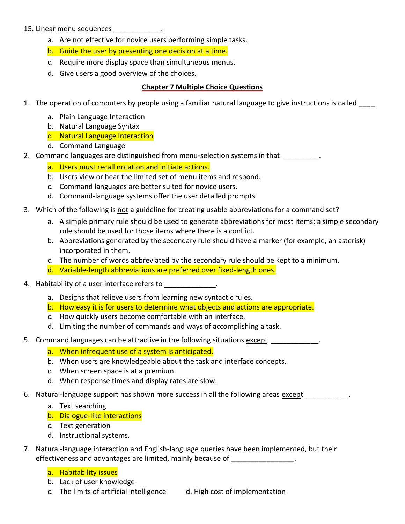#### 15. Linear menu sequences \_\_\_\_\_\_\_\_\_\_\_\_.

- a. Are not effective for novice users performing simple tasks.
- b. Guide the user by presenting one decision at a time.
- c. Require more display space than simultaneous menus.
- d. Give users a good overview of the choices.

### **Chapter 7 Multiple Choice Questions**

- 1. The operation of computers by people using a familiar natural language to give instructions is called \_\_\_\_
	- a. Plain Language Interaction
	- b. Natural Language Syntax
	- c. Natural Language Interaction
	- d. Command Language
- 2. Command languages are distinguished from menu-selection systems in that  $\qquad \qquad$ .
	- a. Users must recall notation and initiate actions.
	- b. Users view or hear the limited set of menu items and respond.
	- c. Command languages are better suited for novice users.
	- d. Command-language systems offer the user detailed prompts
- 3. Which of the following is not a guideline for creating usable abbreviations for a command set?
	- a. A simple primary rule should be used to generate abbreviations for most items; a simple secondary rule should be used for those items where there is a conflict.
	- b. Abbreviations generated by the secondary rule should have a marker (for example, an asterisk) incorporated in them.
	- c. The number of words abbreviated by the secondary rule should be kept to a minimum.
	- d. Variable-length abbreviations are preferred over fixed-length ones.
- 4. Habitability of a user interface refers to \_\_\_\_\_\_\_\_\_\_\_\_\_\_.
	- a. Designs that relieve users from learning new syntactic rules.
	- b. How easy it is for users to determine what objects and actions are appropriate.
	- c. How quickly users become comfortable with an interface.
	- d. Limiting the number of commands and ways of accomplishing a task.
- 5. Command languages can be attractive in the following situations except \_\_\_\_\_\_\_\_\_\_\_.
	- a. When infrequent use of a system is anticipated.
	- b. When users are knowledgeable about the task and interface concepts.
	- c. When screen space is at a premium.
	- d. When response times and display rates are slow.
- 6. Natural-language support has shown more success in all the following areas except  $\blacksquare$ 
	- a. Text searching
	- b. Dialogue-like interactions
	- c. Text generation
	- d. Instructional systems.
- 7. Natural-language interaction and English-language queries have been implemented, but their effectiveness and advantages are limited, mainly because of **which contains the container**

## a. Habitability issues

- b. Lack of user knowledge
- c. The limits of artificial intelligence d. High cost of implementation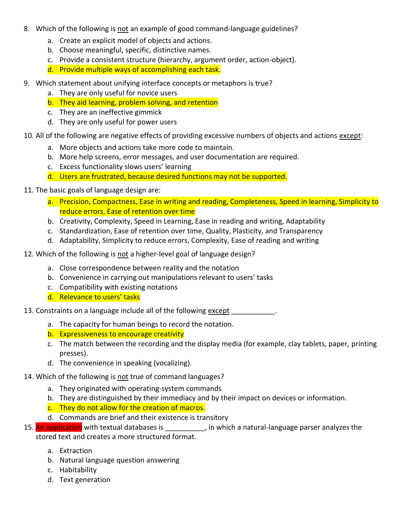- 8. Which of the following is not an example of good command-language guidelines?
	- a. Create an explicit model of objects and actions.
	- b. Choose meaningful, specific, distinctive names.
	- c. Provide a consistent structure (hierarchy, argument order, action-object).
	- d. Provide multiple ways of accomplishing each task.
- 9. Which statement about unifying interface concepts or metaphors is true?
	- a. They are only useful for novice users
	- b. They aid learning, problem solving, and retention
	- c. They are an ineffective gimmick
	- d. They are only useful for power users
- 10. All of the following are negative effects of providing excessive numbers of objects and actions except:
	- a. More objects and actions take more code to maintain.
	- b. More help screens, error messages, and user documentation are required.
	- c. Excess functionality slows users' learning
	- d. Users are frustrated, because desired functions may not be supported.
- 11. The basic goals of language design are:
	- a. Precision, Compactness, Ease in writing and reading, Completeness, Speed in learning, Simplicity to reduce errors, Ease of retention over time
	- b. Creativity, Complexity, Speed in Learning, Ease in reading and writing, Adaptability
	- c. Standardization, Ease of retention over time, Quality, Plasticity, and Transparency
	- d. Adaptability, Simplicity to reduce errors, Complexity, Ease of reading and writing
- 12. Which of the following is not a higher-level goal of language design?
	- a. Close correspondence between reality and the notation
	- b. Convenience in carrying out manipulations relevant to users' tasks
	- c. Compatibility with existing notations
	- d. Relevance to users' tasks
- 13. Constraints on a language include all of the following except  $\qquad \qquad$ 
	- a. The capacity for human beings to record the notation.
	- b. Expressiveness to encourage creativity
	- c. The match between the recording and the display media (for example, clay tablets, paper, printing presses).
	- d. The convenience in speaking (vocalizing).
- 14. Which of the following is not true of command languages?
	- a. They originated with operating-system commands
	- b. They are distinguished by their immediacy and by their impact on devices or information.
	- c. They do not allow for the creation of macros.
	- d. Commands are brief and their existence is transitory
- 15. An application with textual databases is  $\frac{1}{2}$ , in which a natural-language parser analyzes the stored text and creates a more structured format.
	- a. Extraction
	- b. Natural language question answering
	- c. Habitability
	- d. Text generation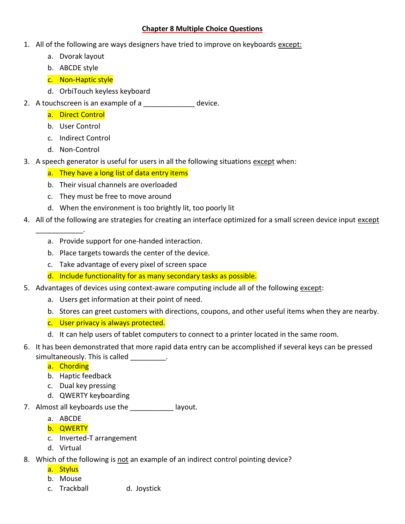#### **Chapter 8 Multiple Choice Questions**

- 1. All of the following are ways designers have tried to improve on keyboards except:
	- a. Dvorak layout
	- b. ABCDE style
	- c. Non-Haptic style
	- d. OrbiTouch keyless keyboard
- 2. A touchscreen is an example of a \_\_\_\_\_\_\_\_\_\_\_\_\_ device.
	- a. Direct Control
	- b. User Control
	- c. Indirect Control
	- d. Non-Control

\_\_\_\_\_\_\_\_\_\_\_\_.

- 3. A speech generator is useful for users in all the following situations except when:
	- a. They have a long list of data entry items
	- b. Their visual channels are overloaded
	- c. They must be free to move around
	- d. When the environment is too brightly lit, too poorly lit
- 4. All of the following are strategies for creating an interface optimized for a small screen device input except
	- a. Provide support for one-handed interaction.
	- b. Place targets towards the center of the device.
	- c. Take advantage of every pixel of screen space
	- d. Include functionality for as many secondary tasks as possible.
- 5. Advantages of devices using context-aware computing include all of the following except:
	- a. Users get information at their point of need.
	- b. Stores can greet customers with directions, coupons, and other useful items when they are nearby.
	- c. User privacy is always protected.
	- d. It can help users of tablet computers to connect to a printer located in the same room.
- 6. It has been demonstrated that more rapid data entry can be accomplished if several keys can be pressed
	- simultaneously. This is called  $\qquad \qquad$ .
		- a. Chording
		- b. Haptic feedback
		- c. Dual key pressing
		- d. QWERTY keyboarding
- 7. Almost all keyboards use the \_\_\_\_\_\_\_\_\_\_\_ layout.
	- a. ABCDE
	- b. QWERTY
	- c. Inverted-T arrangement
	- d. Virtual
- 8. Which of the following is not an example of an indirect control pointing device?
	- a. Stylus
	- b. Mouse
	- c. Trackball d. Joystick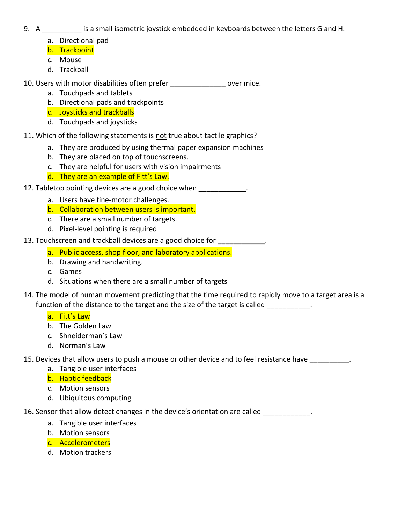- 9. A samall isometric joystick embedded in keyboards between the letters G and H.
	- a. Directional pad
	- b. Trackpoint
	- c. Mouse
	- d. Trackball

10. Users with motor disabilities often prefer example over mice.

- a. Touchpads and tablets
- b. Directional pads and trackpoints
- c. Joysticks and trackballs
- d. Touchpads and joysticks

11. Which of the following statements is not true about tactile graphics?

- a. They are produced by using thermal paper expansion machines
- b. They are placed on top of touchscreens.
- c. They are helpful for users with vision impairments
- d. They are an example of Fitt's Law.
- 12. Tabletop pointing devices are a good choice when  $\blacksquare$ 
	- a. Users have fine-motor challenges.
	- b. Collaboration between users is important.
	- c. There are a small number of targets.
	- d. Pixel-level pointing is required
- 13. Touchscreen and trackball devices are a good choice for  $\qquad \qquad$ .
	- a. Public access, shop floor, and laboratory applications.
	- b. Drawing and handwriting.
	- c. Games
	- d. Situations when there are a small number of targets
- 14. The model of human movement predicting that the time required to rapidly move to a target area is a function of the distance to the target and the size of the target is called

# a. Fitt's Law

- b. The Golden Law
- c. Shneiderman's Law
- d. Norman's Law
- 15. Devices that allow users to push a mouse or other device and to feel resistance have \_\_\_\_\_\_\_\_\_\_.
	- a. Tangible user interfaces
	- b. Haptic feedback
	- c. Motion sensors
	- d. Ubiquitous computing

16. Sensor that allow detect changes in the device's orientation are called \_\_\_\_\_\_\_\_\_\_\_\_\_\_\_.

- a. Tangible user interfaces
- b. Motion sensors
- c. Accelerometers
- d. Motion trackers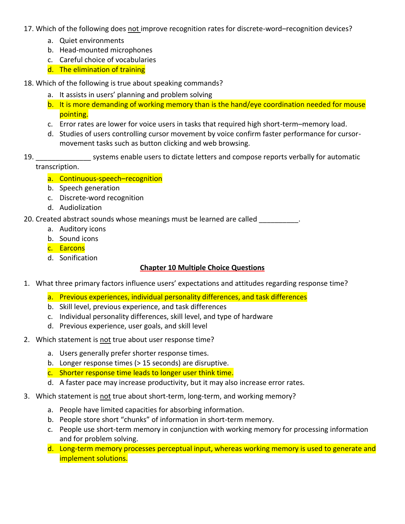17. Which of the following does not improve recognition rates for discrete-word–recognition devices?

- a. Quiet environments
- b. Head-mounted microphones
- c. Careful choice of vocabularies
- d. The elimination of training
- 18. Which of the following is true about speaking commands?
	- a. It assists in users' planning and problem solving
	- b. It is more demanding of working memory than is the hand/eye coordination needed for mouse pointing.
	- c. Error rates are lower for voice users in tasks that required high short-term–memory load.
	- d. Studies of users controlling cursor movement by voice confirm faster performance for cursormovement tasks such as button clicking and web browsing.
- 19. \_\_\_\_\_\_\_\_\_\_\_\_\_\_ systems enable users to dictate letters and compose reports verbally for automatic transcription.
	- a. Continuous-speech–recognition
	- b. Speech generation
	- c. Discrete-word recognition
	- d. Audiolization

20. Created abstract sounds whose meanings must be learned are called

- a. Auditory icons
- b. Sound icons
- c. Earcons
- d. Sonification

## **Chapter 10 Multiple Choice Questions**

- 1. What three primary factors influence users' expectations and attitudes regarding response time?
	- a. Previous experiences, individual personality differences, and task differences
	- b. Skill level, previous experience, and task differences
	- c. Individual personality differences, skill level, and type of hardware
	- d. Previous experience, user goals, and skill level
- 2. Which statement is not true about user response time?
	- a. Users generally prefer shorter response times.
	- b. Longer response times (> 15 seconds) are disruptive.
	- c. Shorter response time leads to longer user think time.
	- d. A faster pace may increase productivity, but it may also increase error rates.
- 3. Which statement is not true about short-term, long-term, and working memory?
	- a. People have limited capacities for absorbing information.
	- b. People store short "chunks" of information in short-term memory.
	- c. People use short-term memory in conjunction with working memory for processing information and for problem solving.
	- d. Long-term memory processes perceptual input, whereas working memory is used to generate and implement solutions.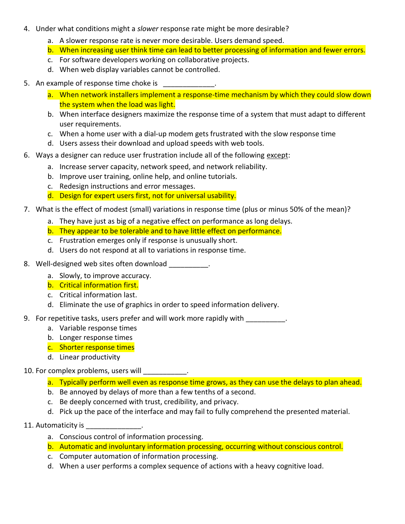- 4. Under what conditions might a *slower* response rate might be more desirable?
	- a. A slower response rate is never more desirable. Users demand speed.
	- b. When increasing user think time can lead to better processing of information and fewer errors.
	- c. For software developers working on collaborative projects.
	- d. When web display variables cannot be controlled.
- 5. An example of response time choke is \_\_\_\_\_\_\_\_\_\_\_\_\_.
	- a. When network installers implement a response-time mechanism by which they could slow down the system when the load was light.
	- b. When interface designers maximize the response time of a system that must adapt to different user requirements.
	- c. When a home user with a dial-up modem gets frustrated with the slow response time
	- d. Users assess their download and upload speeds with web tools.
- 6. Ways a designer can reduce user frustration include all of the following except:
	- a. Increase server capacity, network speed, and network reliability.
	- b. Improve user training, online help, and online tutorials.
	- c. Redesign instructions and error messages.
	- d. Design for expert users first, not for universal usability.
- 7. What is the effect of modest (small) variations in response time (plus or minus 50% of the mean)?
	- a. They have just as big of a negative effect on performance as long delays.
	- b. They appear to be tolerable and to have little effect on performance.
	- c. Frustration emerges only if response is unusually short.
	- d. Users do not respond at all to variations in response time.
- 8. Well-designed web sites often download and such a set of
	- a. Slowly, to improve accuracy.
	- b. Critical information first.
	- c. Critical information last.
	- d. Eliminate the use of graphics in order to speed information delivery.
- 9. For repetitive tasks, users prefer and will work more rapidly with \_\_\_\_\_\_\_\_\_\_.
	- a. Variable response times
	- b. Longer response times
	- c. Shorter response times
	- d. Linear productivity

#### 10. For complex problems, users will \_\_\_\_\_\_\_\_\_\_\_.

- a. Typically perform well even as response time grows, as they can use the delays to plan ahead.
- b. Be annoyed by delays of more than a few tenths of a second.
- c. Be deeply concerned with trust, credibility, and privacy.
- d. Pick up the pace of the interface and may fail to fully comprehend the presented material.
- 11. Automaticity is
	- a. Conscious control of information processing.
	- b. Automatic and involuntary information processing, occurring without conscious control.
	- c. Computer automation of information processing.
	- d. When a user performs a complex sequence of actions with a heavy cognitive load.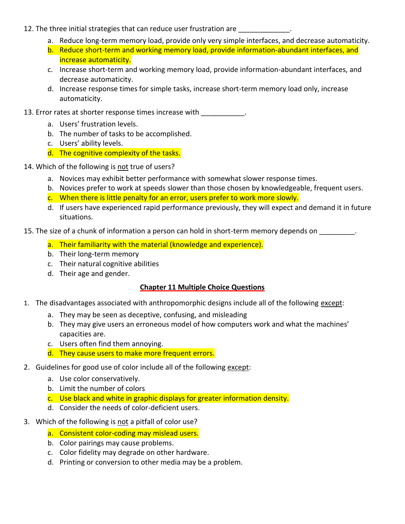- 12. The three initial strategies that can reduce user frustration are
	- a. Reduce long-term memory load, provide only very simple interfaces, and decrease automaticity.
	- b. Reduce short-term and working memory load, provide information-abundant interfaces, and increase automaticity.
	- c. Increase short-term and working memory load, provide information-abundant interfaces, and decrease automaticity.
	- d. Increase response times for simple tasks, increase short-term memory load only, increase automaticity.
- 13. Error rates at shorter response times increase with \_\_\_\_\_\_\_\_\_\_\_.
	- a. Users' frustration levels.
	- b. The number of tasks to be accomplished.
	- c. Users' ability levels.
	- d. The cognitive complexity of the tasks.
- 14. Which of the following is not true of users?
	- a. Novices may exhibit better performance with somewhat slower response times.
	- b. Novices prefer to work at speeds slower than those chosen by knowledgeable, frequent users.
	- c. When there is little penalty for an error, users prefer to work more slowly.
	- d. If users have experienced rapid performance previously, they will expect and demand it in future situations.
- 15. The size of a chunk of information a person can hold in short-term memory depends on
	- a. Their familiarity with the material (knowledge and experience).
	- b. Their long-term memory
	- c. Their natural cognitive abilities
	- d. Their age and gender.

# **Chapter 11 Multiple Choice Questions**

- 1. The disadvantages associated with anthropomorphic designs include all of the following except:
	- a. They may be seen as deceptive, confusing, and misleading
	- b. They may give users an erroneous model of how computers work and what the machines' capacities are.
	- c. Users often find them annoying.
	- d. They cause users to make more frequent errors.
- 2. Guidelines for good use of color include all of the following except:
	- a. Use color conservatively.
	- b. Limit the number of colors
	- c. Use black and white in graphic displays for greater information density.
	- d. Consider the needs of color-deficient users.
- 3. Which of the following is not a pitfall of color use?
	- a. Consistent color-coding may mislead users.
	- b. Color pairings may cause problems.
	- c. Color fidelity may degrade on other hardware.
	- d. Printing or conversion to other media may be a problem.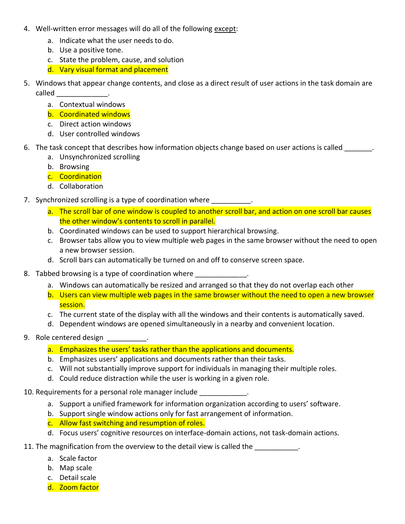- 4. Well-written error messages will do all of the following except:
	- a. Indicate what the user needs to do.
	- b. Use a positive tone.
	- c. State the problem, cause, and solution
	- d. Vary visual format and placement
- 5. Windows that appear change contents, and close as a direct result of user actions in the task domain are  $called \qquad \qquad \qquad$ 
	- a. Contextual windows
	- b. Coordinated windows
	- c. Direct action windows
	- d. User controlled windows
- 6. The task concept that describes how information objects change based on user actions is called  $\blacksquare$ 
	- a. Unsynchronized scrolling
	- b. Browsing
	- c. Coordination
	- d. Collaboration
- 7. Synchronized scrolling is a type of coordination where \_\_\_\_\_\_\_\_\_\_.
	- a. The scroll bar of one window is coupled to another scroll bar, and action on one scroll bar causes the other window's contents to scroll in parallel.
	- b. Coordinated windows can be used to support hierarchical browsing.
	- c. Browser tabs allow you to view multiple web pages in the same browser without the need to open a new browser session.
	- d. Scroll bars can automatically be turned on and off to conserve screen space.
- 8. Tabbed browsing is a type of coordination where
	- a. Windows can automatically be resized and arranged so that they do not overlap each other
	- b. Users can view multiple web pages in the same browser without the need to open a new browser session.
	- c. The current state of the display with all the windows and their contents is automatically saved.
	- d. Dependent windows are opened simultaneously in a nearby and convenient location.
- 9. Role centered design \_\_\_\_\_\_\_\_\_\_.
	- a. Emphasizes the users' tasks rather than the applications and documents.
	- b. Emphasizes users' applications and documents rather than their tasks.
	- c. Will not substantially improve support for individuals in managing their multiple roles.
	- d. Could reduce distraction while the user is working in a given role.
- 10. Requirements for a personal role manager include
	- a. Support a unified framework for information organization according to users' software.
	- b. Support single window actions only for fast arrangement of information.
	- c. Allow fast switching and resumption of roles.
	- d. Focus users' cognitive resources on interface-domain actions, not task-domain actions.
- 11. The magnification from the overview to the detail view is called the  $\blacksquare$ 
	- a. Scale factor
	- b. Map scale
	- c. Detail scale
	- d. Zoom factor